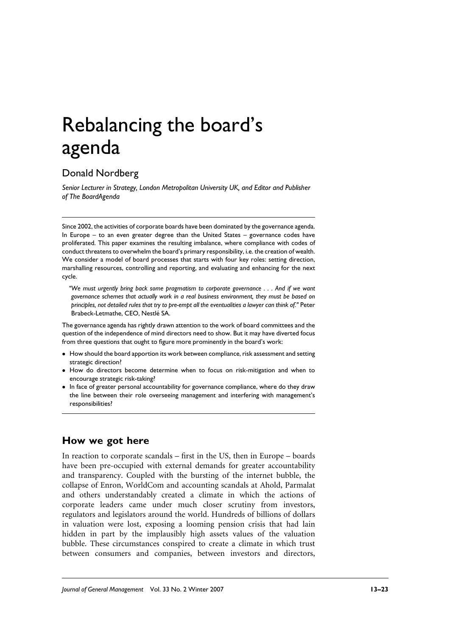# Rebalancing the board's agenda

# Donald Nordberg

Senior Lecturer in Strategy, London Metropolitan University UK, and Editor and Publisher of The BoardAgenda

Since 2002, the activities of corporate boards have been dominated by the governance agenda. In Europe - to an even greater degree than the United States - governance codes have proliferated. This paper examines the resulting imbalance, where compliance with codes of conduct threatens to overwhelm the board's primary responsibility, i.e. the creation of wealth. We consider a model of board processes that starts with four key roles: setting direction, marshalling resources, controlling and reporting, and evaluating and enhancing for the next cycle.

"We must urgently bring back some pragmatism to corporate governance . . . And if we want governance schemes that actually work in a real business environment, they must be based on principles, not detailed rules that try to pre-empt all the eventualities a lawyer can think of." Peter Brabeck-Letmathe, CEO, Nestlé SA.

The governance agenda has rightly drawn attention to the work of board committees and the question of the independence of mind directors need to show. But it may have diverted focus from three questions that ought to figure more prominently in the board's work:

- How should the board apportion its work between compliance, risk assessment and setting strategic direction?
- How do directors become determine when to focus on risk-mitigation and when to encourage strategic risk-taking?
- In face of greater personal accountability for governance compliance, where do they draw the line between their role overseeing management and interfering with management's responsibilities?

# How we got here

In reaction to corporate scandals – first in the US, then in Europe – boards have been pre-occupied with external demands for greater accountability and transparency. Coupled with the bursting of the internet bubble, the collapse of Enron, WorldCom and accounting scandals at Ahold, Parmalat and others understandably created a climate in which the actions of corporate leaders came under much closer scrutiny from investors, regulators and legislators around the world. Hundreds of billions of dollars in valuation were lost, exposing a looming pension crisis that had lain hidden in part by the implausibly high assets values of the valuation bubble. These circumstances conspired to create a climate in which trust between consumers and companies, between investors and directors,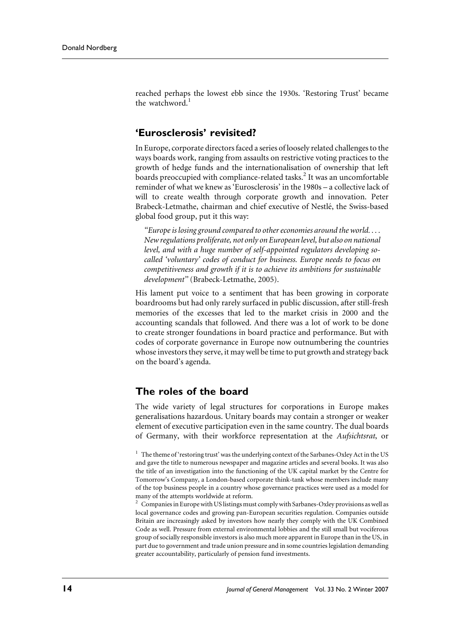reached perhaps the lowest ebb since the 1930s. 'Restoring Trust' became the watchword.<sup>1</sup>

### 'Eurosclerosis' revisited?

In Europe, corporate directors faced a series of loosely related challenges to the ways boards work, ranging from assaults on restrictive voting practices to the growth of hedge funds and the internationalisation of ownership that left boards preoccupied with compliance-related tasks.<sup>2</sup> It was an uncomfortable reminder of what we knew as 'Eurosclerosis' in the 1980s - a collective lack of will to create wealth through corporate growth and innovation. Peter Brabeck-Letmathe, chairman and chief executive of Nestlé, the Swiss-based global food group, put it this way:

"Europe is losing ground compared to other economies around the world.... New regulations proliferate, not only on European level, but also on national level, and with a huge number of self-appointed regulators developing socalled 'voluntary' codes of conduct for business. Europe needs to focus on competitiveness and growth if it is to achieve its ambitions for sustainable development" (Brabeck-Letmathe, 2005).

His lament put voice to a sentiment that has been growing in corporate boardrooms but had only rarely surfaced in public discussion, after still-fresh memories of the excesses that led to the market crisis in 2000 and the accounting scandals that followed. And there was a lot of work to be done to create stronger foundations in board practice and performance. But with codes of corporate governance in Europe now outnumbering the countries whose investors they serve, it may well be time to put growth and strategy back on the board's agenda.

#### The roles of the board

The wide variety of legal structures for corporations in Europe makes generalisations hazardous. Unitary boards may contain a stronger or weaker element of executive participation even in the same country. The dual boards of Germany, with their workforce representation at the Aufsichtsrat, or

<sup>1</sup> The theme of 'restoring trust' was the underlying context of the Sarbanes-Oxley Act in the US and gave the title to numerous newspaper and magazine articles and several books. It was also the title of an investigation into the functioning of the UK capital market by the Centre for Tomorrow's Company, a London-based corporate think-tank whose members include many of the top business people in a country whose governance practices were used as a model for many of the attempts worldwide at reform.

 $2\degree$  Companies in Europe with US listings must comply with Sarbanes-Oxley provisions as well as local governance codes and growing pan-European securities regulation. Companies outside Britain are increasingly asked by investors how nearly they comply with the UK Combined Code as well. Pressure from external environmental lobbies and the still small but vociferous group of socially responsible investors is also much more apparent in Europe than in the US, in part due to government and trade union pressure and in some countries legislation demanding greater accountability, particularly of pension fund investments.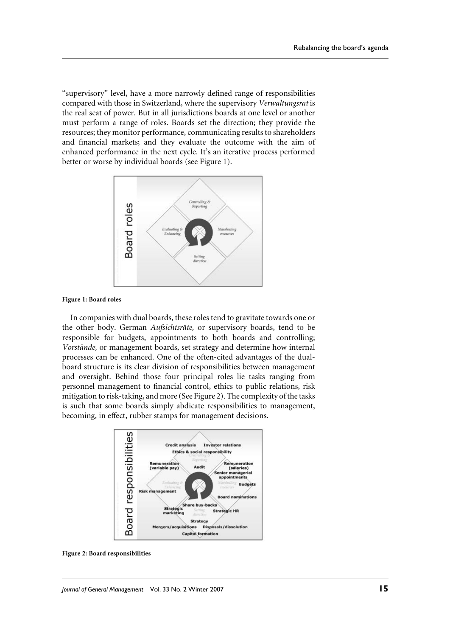"supervisory" level, have a more narrowly defined range of responsibilities compared with those in Switzerland, where the supervisory Verwaltungsrat is the real seat of power. But in all jurisdictions boards at one level or another must perform a range of roles. Boards set the direction; they provide the resources; they monitor performance, communicating results to shareholders and financial markets; and they evaluate the outcome with the aim of enhanced performance in the next cycle. It's an iterative process performed better or worse by individual boards (see Figure 1).



Figure 1: Board roles

In companies with dual boards, these roles tend to gravitate towards one or the other body. German Aufsichtsräte, or supervisory boards, tend to be responsible for budgets, appointments to both boards and controlling; Vorstände, or management boards, set strategy and determine how internal processes can be enhanced. One of the often-cited advantages of the dualboard structure is its clear division of responsibilities between management and oversight. Behind those four principal roles lie tasks ranging from personnel management to financial control, ethics to public relations, risk mitigation to risk-taking, and more (See Figure 2). The complexity of the tasks is such that some boards simply abdicate responsibilities to management, becoming, in effect, rubber stamps for management decisions.



Figure 2: Board responsibilities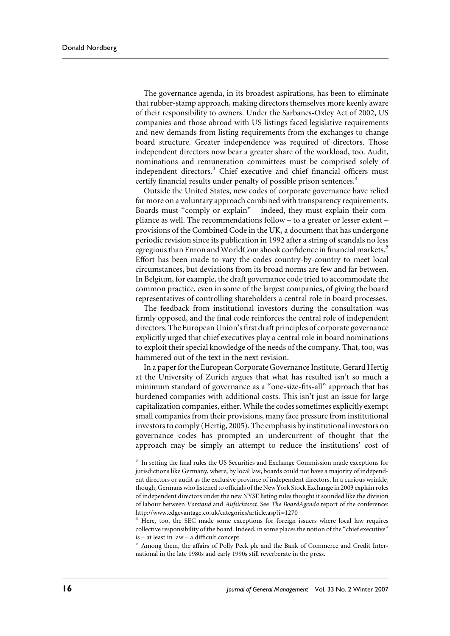The governance agenda, in its broadest aspirations, has been to eliminate that rubber-stamp approach, making directors themselves more keenly aware of their responsibility to owners. Under the Sarbanes-Oxley Act of 2002, US companies and those abroad with US listings faced legislative requirements and new demands from listing requirements from the exchanges to change board structure. Greater independence was required of directors. Those independent directors now bear a greater share of the workload, too. Audit, nominations and remuneration committees must be comprised solely of independent directors.<sup>3</sup> Chief executive and chief financial officers must certify financial results under penalty of possible prison sentences.<sup>4</sup>

Outside the United States, new codes of corporate governance have relied far more on a voluntary approach combined with transparency requirements. Boards must "comply or explain" – indeed, they must explain their compliance as well. The recommendations follow – to a greater or lesser extent – provisions of the Combined Code in the UK, a document that has undergone periodic revision since its publication in 1992 after a string of scandals no less egregious than Enron and WorldCom shook confidence in financial markets.<sup>5</sup> Effort has been made to vary the codes country-by-country to meet local circumstances, but deviations from its broad norms are few and far between. In Belgium, for example, the draft governance code tried to accommodate the common practice, even in some of the largest companies, of giving the board representatives of controlling shareholders a central role in board processes.

The feedback from institutional investors during the consultation was firmly opposed, and the final code reinforces the central role of independent directors. The European Union's first draft principles of corporate governance explicitly urged that chief executives play a central role in board nominations to exploit their special knowledge of the needs of the company. That, too, was hammered out of the text in the next revision.

In a paper for the European Corporate Governance Institute, Gerard Hertig at the University of Zurich argues that what has resulted isn't so much a minimum standard of governance as a "one-size-fits-all" approach that has burdened companies with additional costs. This isn't just an issue for large capitalization companies, either. While the codes sometimes explicitly exempt small companies from their provisions, many face pressure from institutional investors to comply (Hertig, 2005). The emphasis by institutional investors on governance codes has prompted an undercurrent of thought that the approach may be simply an attempt to reduce the institutions' cost of

<sup>3</sup> In setting the final rules the US Securities and Exchange Commission made exceptions for jurisdictions like Germany, where, by local law, boards could not have a majority of independent directors or audit as the exclusive province of independent directors. In a curious wrinkle, though, Germans who listened to officials of the New York Stock Exchange in 2003 explain roles of independent directors under the new NYSE listing rules thought it sounded like the division of labour between Vorstand and Aufsichtsrat. See The BoardAgenda report of the conference: http://www.edgevantage.co.uk/categories/article.asp?i=1270

<sup>4</sup> Here, too, the SEC made some exceptions for foreign issuers where local law requires collective responsibility of the board. Indeed, in some places the notion of the "chief executive" is - at least in law - a difficult concept.

<sup>5</sup> Among them, the affairs of Polly Peck plc and the Bank of Commerce and Credit International in the late 1980s and early 1990s still reverberate in the press.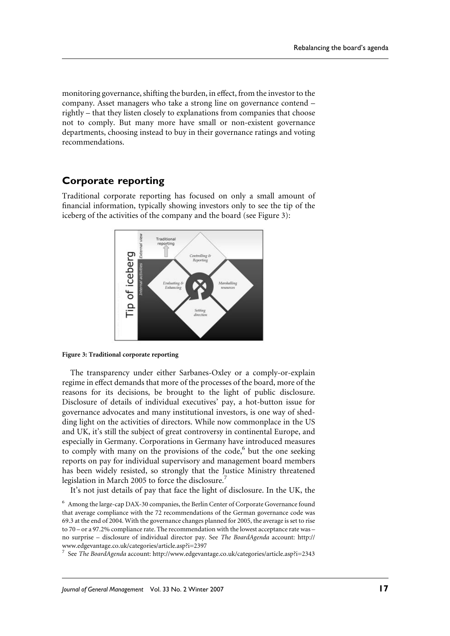monitoring governance, shifting the burden, in effect, from the investor to the company. Asset managers who take a strong line on governance contend – rightly – that they listen closely to explanations from companies that choose not to comply. But many more have small or non-existent governance departments, choosing instead to buy in their governance ratings and voting recommendations.

## **Corporate reporting**

Traditional corporate reporting has focused on only a small amount of financial information, typically showing investors only to see the tip of the iceberg of the activities of the company and the board (see Figure 3):





The transparency under either Sarbanes-Oxley or a comply-or-explain regime in effect demands that more of the processes of the board, more of the reasons for its decisions, be brought to the light of public disclosure. Disclosure of details of individual executives' pay, a hot-button issue for governance advocates and many institutional investors, is one way of shedding light on the activities of directors. While now commonplace in the US and UK, it's still the subject of great controversy in continental Europe, and especially in Germany. Corporations in Germany have introduced measures to comply with many on the provisions of the code,<sup>6</sup> but the one seeking reports on pay for individual supervisory and management board members has been widely resisted, so strongly that the Justice Ministry threatened legislation in March 2005 to force the disclosure.<sup>7</sup>

It's not just details of pay that face the light of disclosure. In the UK, the

 $^6\,$  Among the large-cap DAX-30 companies, the Berlin Center of Corporate Governance found that average compliance with the 72 recommendations of the German governance code was 69.3 at the end of 2004. With the governance changes planned for 2005, the average is set to rise to 70 – or a 97.2% compliance rate. The recommendation with the lowest acceptance rate was – no surprise - disclosure of individual director pay. See The BoardAgenda account: http:// www.edgevantage.co.uk/categories/article.asp?i=2397

<sup>7</sup> See The BoardAgenda account: http://www.edgevantage.co.uk/categories/article.asp?i=2343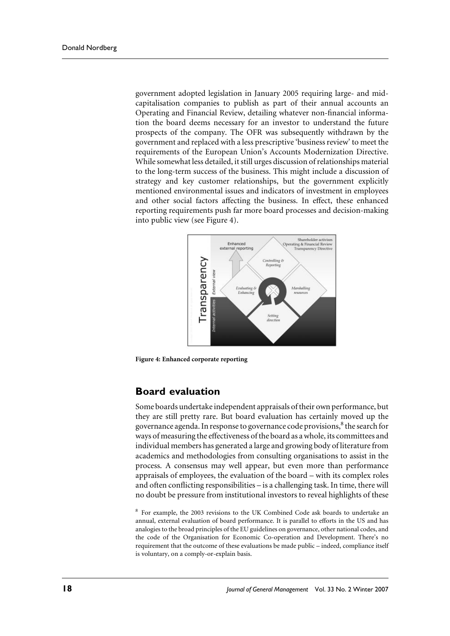government adopted legislation in January 2005 requiring large- and midcapitalisation companies to publish as part of their annual accounts an Operating and Financial Review, detailing whatever non-financial information the board deems necessary for an investor to understand the future prospects of the company. The OFR was subsequently withdrawn by the government and replaced with a less prescriptive 'business review' to meet the requirements of the European Union's Accounts Modernization Directive. While somewhat less detailed, it still urges discussion of relationships material to the long-term success of the business. This might include a discussion of strategy and key customer relationships, but the government explicitly mentioned environmental issues and indicators of investment in employees and other social factors affecting the business. In effect, these enhanced reporting requirements push far more board processes and decision-making into public view (see Figure 4).



Figure 4: Enhanced corporate reporting

#### **Board evaluation**

Some boards undertake independent appraisals of their own performance, but they are still pretty rare. But board evaluation has certainly moved up the governance agenda. In response to governance code provisions,<sup>8</sup> the search for ways of measuring the effectiveness of the board as a whole, its committees and individual members has generated a large and growing body of literature from academics and methodologies from consulting organisations to assist in the process. A consensus may well appear, but even more than performance appraisals of employees, the evaluation of the board – with its complex roles and often conflicting responsibilities – is a challenging task. In time, there will no doubt be pressure from institutional investors to reveal highlights of these

<sup>8</sup> For example, the 2003 revisions to the UK Combined Code ask boards to undertake an annual, external evaluation of board performance. It is parallel to efforts in the US and has analogies to the broad principles of the EU guidelines on governance, other national codes, and the code of the Organisation for Economic Co-operation and Development. There's no requirement that the outcome of these evaluations be made public - indeed, compliance itself is voluntary, on a comply-or-explain basis.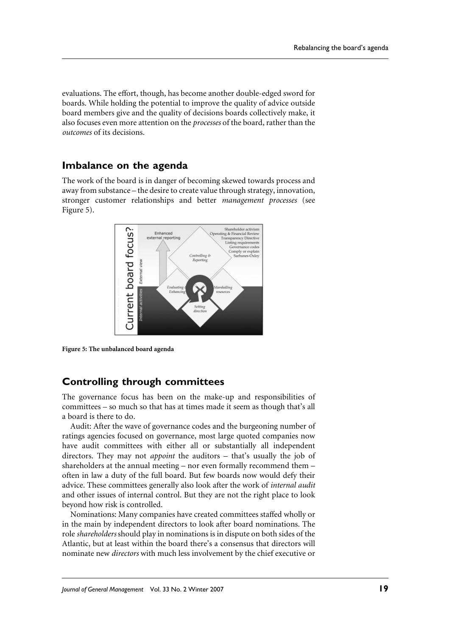evaluations. The effort, though, has become another double-edged sword for boards. While holding the potential to improve the quality of advice outside board members give and the quality of decisions boards collectively make, it also focuses even more attention on the *processes* of the board, rather than the *outcomes* of its decisions

#### Imbalance on the agenda

The work of the board is in danger of becoming skewed towards process and away from substance – the desire to create value through strategy, innovation, stronger customer relationships and better *management* processes (see Figure 5).



Figure 5: The unbalanced board agenda

#### **Controlling through committees**

The governance focus has been on the make-up and responsibilities of committees - so much so that has at times made it seem as though that's all a board is there to do.

Audit: After the wave of governance codes and the burgeoning number of ratings agencies focused on governance, most large quoted companies now have audit committees with either all or substantially all independent directors. They may not *appoint* the auditors – that's usually the job of shareholders at the annual meeting – nor even formally recommend them – often in law a duty of the full board. But few boards now would defy their advice. These committees generally also look after the work of *internal audit* and other issues of internal control. But they are not the right place to look bevond how risk is controlled.

Nominations: Many companies have created committees staffed wholly or in the main by independent directors to look after board nominations. The role *shareholders* should play in nominations is in dispute on both sides of the Atlantic, but at least within the board there's a consensus that directors will nominate new *directors* with much less involvement by the chief executive or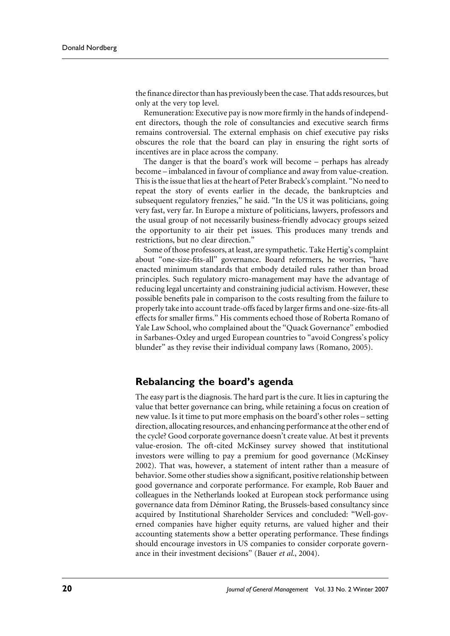the finance director than has previously been the case. That adds resources, but only at the very top level.

Remuneration: Executive pay is now more firmly in the hands of independent directors, though the role of consultancies and executive search firms remains controversial. The external emphasis on chief executive pay risks obscures the role that the board can play in ensuring the right sorts of incentives are in place across the company.

The danger is that the board's work will become – perhaps has already become – imbalanced in favour of compliance and away from value-creation. This is the issue that lies at the heart of Peter Brabeck's complaint. "No need to repeat the story of events earlier in the decade, the bankruptcies and subsequent regulatory frenzies," he said. "In the US it was politicians, going very fast, very far. In Europe a mixture of politicians, lawyers, professors and the usual group of not necessarily business-friendly advocacy groups seized the opportunity to air their pet issues. This produces many trends and restrictions, but no clear direction."

Some of those professors, at least, are sympathetic. Take Hertig's complaint about "one-size-fits-all" governance. Board reformers, he worries, "have enacted minimum standards that embody detailed rules rather than broad principles. Such regulatory micro-management may have the advantage of reducing legal uncertainty and constraining judicial activism. However, these possible benefits pale in comparison to the costs resulting from the failure to properly take into account trade-offs faced by larger firms and one-size-fits-all effects for smaller firms." His comments echoed those of Roberta Romano of Yale Law School, who complained about the "Quack Governance" embodied in Sarbanes-Oxley and urged European countries to "avoid Congress's policy blunder" as they revise their individual company laws (Romano, 2005).

#### Rebalancing the board's agenda

The easy part is the diagnosis. The hard part is the cure. It lies in capturing the value that better governance can bring, while retaining a focus on creation of new value. Is it time to put more emphasis on the board's other roles - setting direction, allocating resources, and enhancing performance at the other end of the cycle? Good corporate governance doesn't create value. At best it prevents value-erosion. The oft-cited McKinsey survey showed that institutional investors were willing to pay a premium for good governance (McKinsey 2002). That was, however, a statement of intent rather than a measure of behavior. Some other studies show a significant, positive relationship between good governance and corporate performance. For example, Rob Bauer and colleagues in the Netherlands looked at European stock performance using governance data from Déminor Rating, the Brussels-based consultancy since acquired by Institutional Shareholder Services and concluded: "Well-governed companies have higher equity returns, are valued higher and their accounting statements show a better operating performance. These findings should encourage investors in US companies to consider corporate governance in their investment decisions" (Bauer et al., 2004).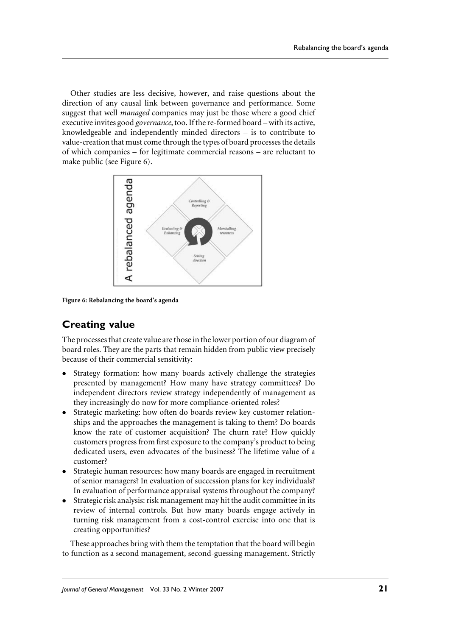Other studies are less decisive, however, and raise questions about the direction of any causal link between governance and performance. Some suggest that well *managed* companies may just be those where a good chief executive invites good *governance*, too. If the re-formed board – with its active, knowledgeable and independently minded directors  $-$  is to contribute to value-creation that must come through the types of board processes the details of which companies – for legitimate commercial reasons – are reluctant to make public (see Figure 6).



Figure 6: Rebalancing the board's agenda

# **Creating value**

The processes that create value are those in the lower portion of our diagram of board roles. They are the parts that remain hidden from public view precisely because of their commercial sensitivity:

- Strategy formation: how many boards actively challenge the strategies presented by management? How many have strategy committees? Do independent directors review strategy independently of management as they increasingly do now for more compliance-oriented roles?
- Strategic marketing: how often do boards review key customer relationships and the approaches the management is taking to them? Do boards know the rate of customer acquisition? The churn rate? How quickly customers progress from first exposure to the company's product to being dedicated users, even advocates of the business? The lifetime value of a customer?
- Strategic human resources: how many boards are engaged in recruitment of senior managers? In evaluation of succession plans for key individuals? In evaluation of performance appraisal systems throughout the company?
- Strategic risk analysis: risk management may hit the audit committee in its review of internal controls. But how many boards engage actively in turning risk management from a cost-control exercise into one that is creating opportunities?

These approaches bring with them the temptation that the board will begin to function as a second management, second-guessing management. Strictly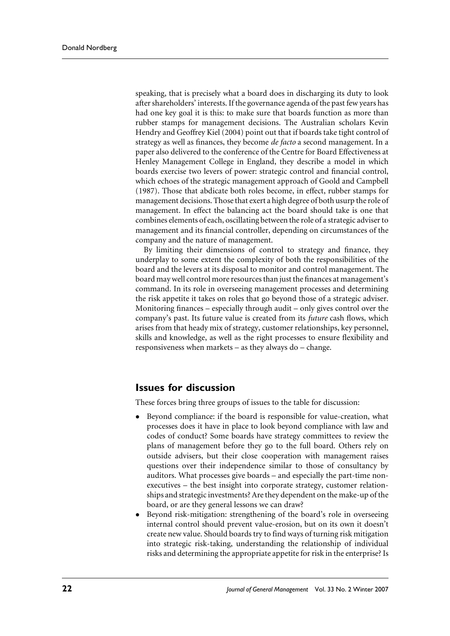speaking, that is precisely what a board does in discharging its duty to look after shareholders' interests. If the governance agenda of the past few years has had one key goal it is this: to make sure that boards function as more than rubber stamps for management decisions. The Australian scholars Kevin Hendry and Geoffrey Kiel (2004) point out that if boards take tight control of strategy as well as finances, they become *de facto* a second management. In a paper also delivered to the conference of the Centre for Board Effectiveness at Henley Management College in England, they describe a model in which boards exercise two levers of power: strategic control and financial control, which echoes of the strategic management approach of Goold and Campbell (1987). Those that abdicate both roles become, in effect, rubber stamps for management decisions. Those that exert a high degree of both usurp the role of management. In effect the balancing act the board should take is one that combines elements of each, oscillating between the role of a strategic adviser to management and its financial controller, depending on circumstances of the company and the nature of management.

By limiting their dimensions of control to strategy and finance, they underplay to some extent the complexity of both the responsibilities of the board and the levers at its disposal to monitor and control management. The board may well control more resources than just the finances at management's command. In its role in overseeing management processes and determining the risk appetite it takes on roles that go beyond those of a strategic adviser. Monitoring finances – especially through audit – only gives control over the company's past. Its future value is created from its *future* cash flows, which arises from that heady mix of strategy, customer relationships, key personnel, skills and knowledge, as well as the right processes to ensure flexibility and responsiveness when markets – as they always do – change.

#### **Issues for discussion**

These forces bring three groups of issues to the table for discussion:

- Beyond compliance: if the board is responsible for value-creation, what processes does it have in place to look beyond compliance with law and codes of conduct? Some boards have strategy committees to review the plans of management before they go to the full board. Others rely on outside advisers, but their close cooperation with management raises questions over their independence similar to those of consultancy by auditors. What processes give boards – and especially the part-time nonexecutives – the best insight into corporate strategy, customer relationships and strategic investments? Are they dependent on the make-up of the board, or are they general lessons we can draw?
- Beyond risk-mitigation: strengthening of the board's role in overseeing internal control should prevent value-erosion, but on its own it doesn't create new value. Should boards try to find ways of turning risk mitigation into strategic risk-taking, understanding the relationship of individual risks and determining the appropriate appetite for risk in the enterprise? Is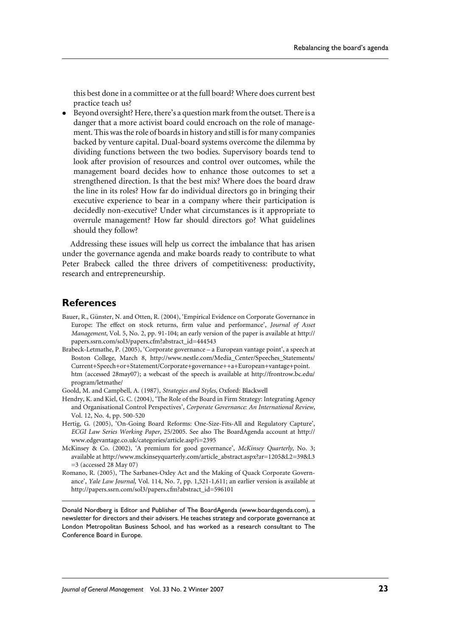this best done in a committee or at the full board? Where does current best practice teach us?

 $\bullet$ Beyond oversight? Here, there's a question mark from the outset. There is a danger that a more activist board could encroach on the role of management. This was the role of boards in history and still is for many companies backed by venture capital. Dual-board systems overcome the dilemma by dividing functions between the two bodies. Supervisory boards tend to look after provision of resources and control over outcomes, while the management board decides how to enhance those outcomes to set a strengthened direction. Is that the best mix? Where does the board draw the line in its roles? How far do individual directors go in bringing their executive experience to bear in a company where their participation is decidedly non-executive? Under what circumstances is it appropriate to overrule management? How far should directors go? What guidelines should they follow?

Addressing these issues will help us correct the imbalance that has arisen under the governance agenda and make boards ready to contribute to what Peter Brabeck called the three drivers of competitiveness: productivity, research and entrepreneurship.

#### **References**

- Bauer, R., Günster, N. and Otten, R. (2004), 'Empirical Evidence on Corporate Governance in Europe: The effect on stock returns, firm value and performance', Journal of Asset Management, Vol. 5, No. 2, pp. 91-104; an early version of the paper is available at http:// papers.ssrn.com/sol3/papers.cfm?abstract\_id=444543
- Brabeck-Letmathe, P. (2005), 'Corporate governance a European vantage point', a speech at Boston College, March 8, http://www.nestle.com/Media\_Center/Speeches\_Statements/ Current+Speech+or+Statement/Corporate+governance++a+European+vantage+point. htm (accessed 28may07); a webcast of the speech is available at http://frontrow.bc.edu/ program/letmathe/
- Goold, M. and Campbell, A. (1987), Strategies and Styles, Oxford: Blackwell
- Hendry, K. and Kiel, G. C. (2004), 'The Role of the Board in Firm Strategy: Integrating Agency and Organisational Control Perspectives', Corporate Governance: An International Review, Vol. 12, No. 4, pp. 500-520
- Hertig, G. (2005), 'On-Going Board Reforms: One-Size-Fits-All and Regulatory Capture', ECGI Law Series Working Paper, 25/2005. See also The BoardAgenda account at http:// www.edgevantage.co.uk/categories/article.asp?i=2395
- McKinsey & Co. (2002), 'A premium for good governance', McKinsey Quarterly, No. 3; available at http://www.mckinseyquarterly.com/article\_abstract.aspx?ar=1205&L2=39&L3  $=$  3 (accessed 28 May 07)
- Romano, R. (2005), 'The Sarbanes-Oxley Act and the Making of Quack Corporate Governance', Yale Law Journal, Vol. 114, No. 7, pp. 1,521-1,611; an earlier version is available at http://papers.ssrn.com/sol3/papers.cfm?abstract\_id=596101

Donald Nordberg is Editor and Publisher of The BoardAgenda (www.boardagenda.com), a newsletter for directors and their advisers. He teaches strategy and corporate governance at London Metropolitan Business School, and has worked as a research consultant to The Conference Board in Europe.